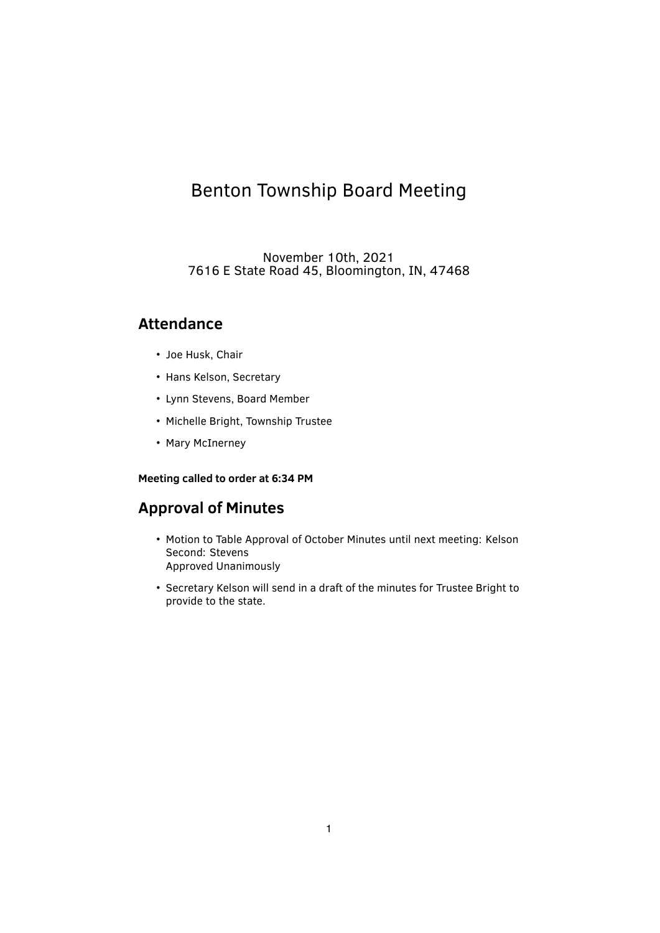# Benton Township Board Meeting

November 10th, 2021 7616 E State Road 45, Bloomington, IN, 47468

# **Attendance**

- Joe Husk, Chair
- Hans Kelson, Secretary
- Lynn Stevens, Board Member
- Michelle Bright, Township Trustee
- Mary McInerney

# **Meeting called to order at 6:34 PM**

# **Approval of Minutes**

- Motion to Table Approval of October Minutes until next meeting: Kelson Second: Stevens Approved Unanimously
- Secretary Kelson will send in a draft of the minutes for Trustee Bright to provide to the state.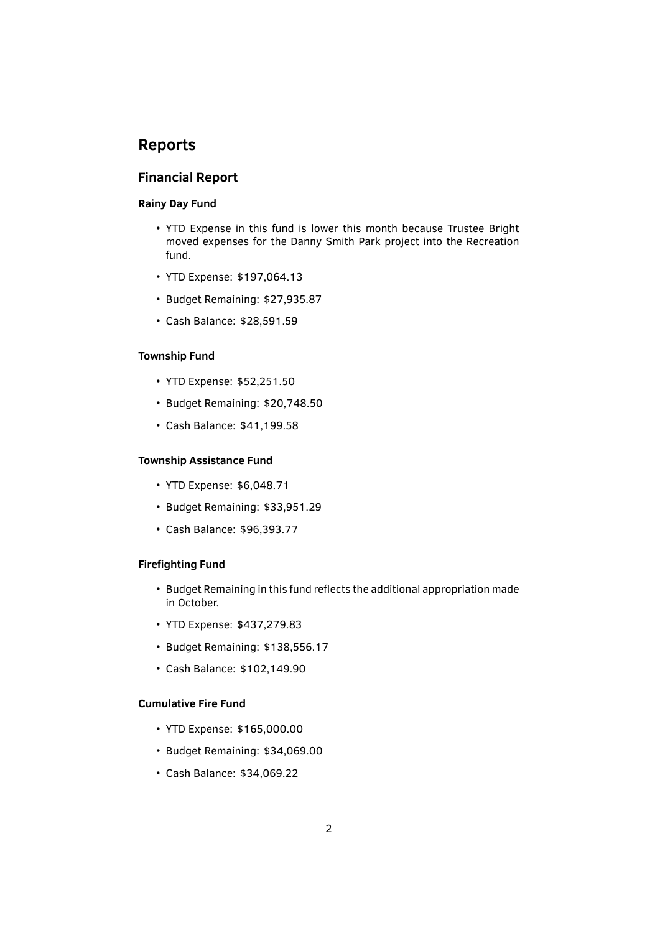# **Reports**

# **Financial Report**

### **Rainy Day Fund**

- YTD Expense in this fund is lower this month because Trustee Bright moved expenses for the Danny Smith Park project into the Recreation fund.
- YTD Expense: \$197,064.13
- Budget Remaining: \$27,935.87
- Cash Balance: \$28,591.59

#### **Township Fund**

- YTD Expense: \$52,251.50
- Budget Remaining: \$20,748.50
- Cash Balance: \$41,199.58

#### **Township Assistance Fund**

- YTD Expense: \$6,048.71
- Budget Remaining: \$33,951.29
- Cash Balance: \$96,393.77

### **Firefighting Fund**

- Budget Remaining in this fund reflects the additional appropriation made in October.
- YTD Expense: \$437,279.83
- Budget Remaining: \$138,556.17
- Cash Balance: \$102,149.90

# **Cumulative Fire Fund**

- YTD Expense: \$165,000.00
- Budget Remaining: \$34,069.00
- Cash Balance: \$34,069.22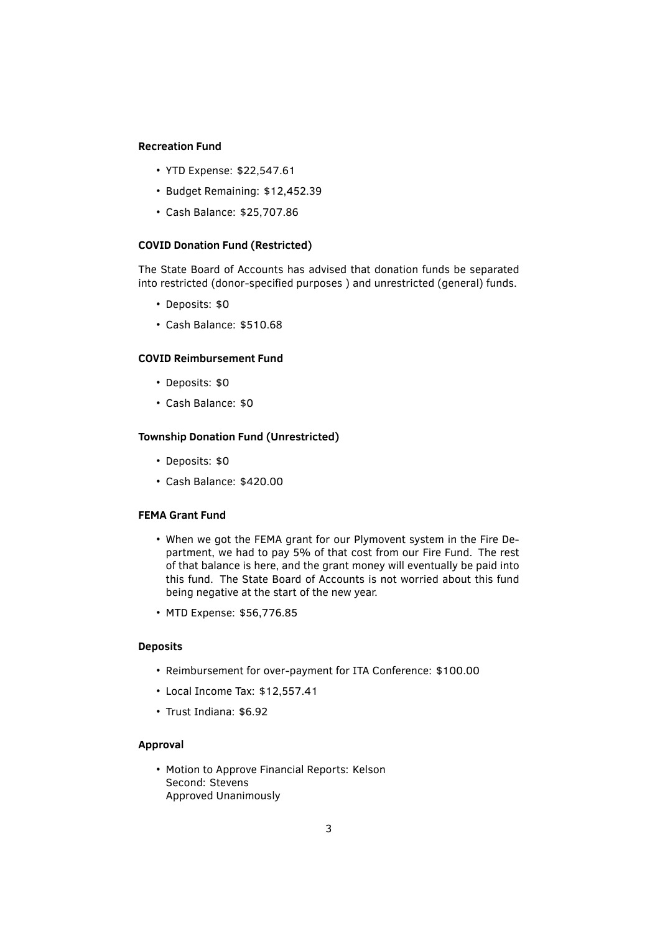#### **Recreation Fund**

- YTD Expense: \$22,547.61
- Budget Remaining: \$12,452.39
- Cash Balance: \$25,707.86

#### **COVID Donation Fund (Restricted)**

The State Board of Accounts has advised that donation funds be separated into restricted (donor-specified purposes) and unrestricted (general) funds.

- Deposits: \$0
- Cash Balance: \$510.68

### **COVID Reimbursement Fund**

- Deposits: \$0
- Cash Balance: \$0

### **Township Donation Fund (Unrestricted)**

- Deposits: \$0
- Cash Balance: \$420.00

# **FEMA Grant Fund**

- When we got the FEMA grant for our Plymovent system in the Fire Department, we had to pay 5% of that cost from our Fire Fund. The rest of that balance is here, and the grant money will eventually be paid into this fund. The State Board of Accounts is not worried about this fund being negative at the start of the new year.
- MTD Expense: \$56,776.85

#### **Deposits**

- Reimbursement for over-payment for ITA Conference: \$100.00
- Local Income Tax: \$12,557.41
- Trust Indiana: \$6.92

#### **Approval**

• Motion to Approve Financial Reports: Kelson Second: Stevens Approved Unanimously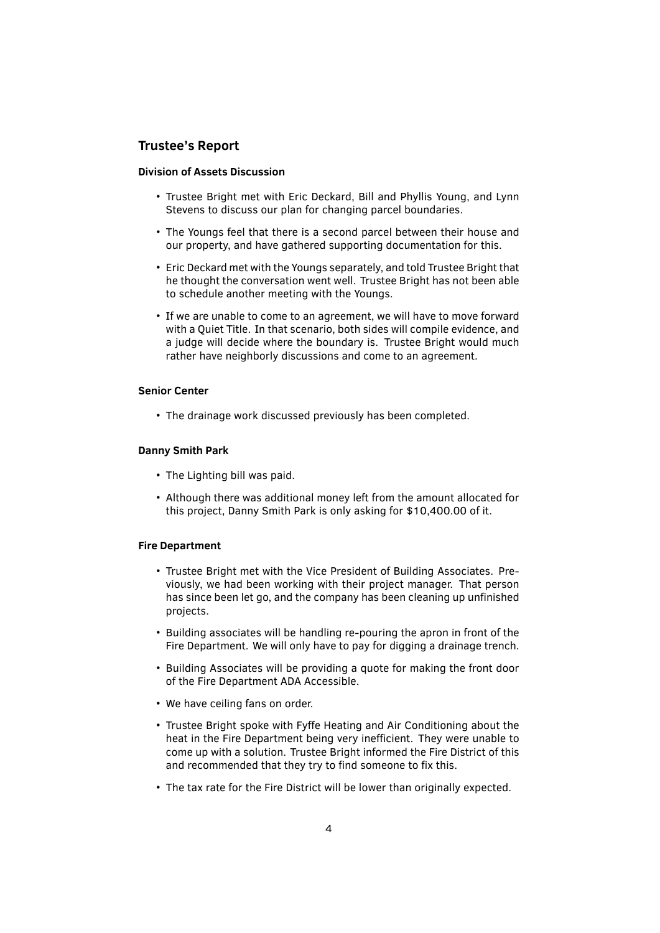# **Trustee's Report**

#### **Division of Assets Discussion**

- Trustee Bright met with Eric Deckard, Bill and Phyllis Young, and Lynn Stevens to discuss our plan for changing parcel boundaries.
- The Youngs feel that there is a second parcel between their house and our property, and have gathered supporting documentation for this.
- Eric Deckard met with the Youngs separately, and told Trustee Bright that he thought the conversation went well. Trustee Bright has not been able to schedule another meeting with the Youngs.
- If we are unable to come to an agreement, we will have to move forward with a Quiet Title. In that scenario, both sides will compile evidence, and a judge will decide where the boundary is. Trustee Bright would much rather have neighborly discussions and come to an agreement.

#### **Senior Center**

• The drainage work discussed previously has been completed.

#### **Danny Smith Park**

- The Lighting bill was paid.
- Although there was additional money left from the amount allocated for this project, Danny Smith Park is only asking for \$10,400.00 of it.

#### **Fire Department**

- Trustee Bright met with the Vice President of Building Associates. Previously, we had been working with their project manager. That person has since been let go, and the company has been cleaning up unfinished projects.
- Building associates will be handling re-pouring the apron in front of the Fire Department. We will only have to pay for digging a drainage trench.
- Building Associates will be providing a quote for making the front door of the Fire Department ADA Accessible.
- We have ceiling fans on order.
- Trustee Bright spoke with Fyffe Heating and Air Conditioning about the heat in the Fire Department being very inefficient. They were unable to come up with a solution. Trustee Bright informed the Fire District of this and recommended that they try to find someone to fix this.
- The tax rate for the Fire District will be lower than originally expected.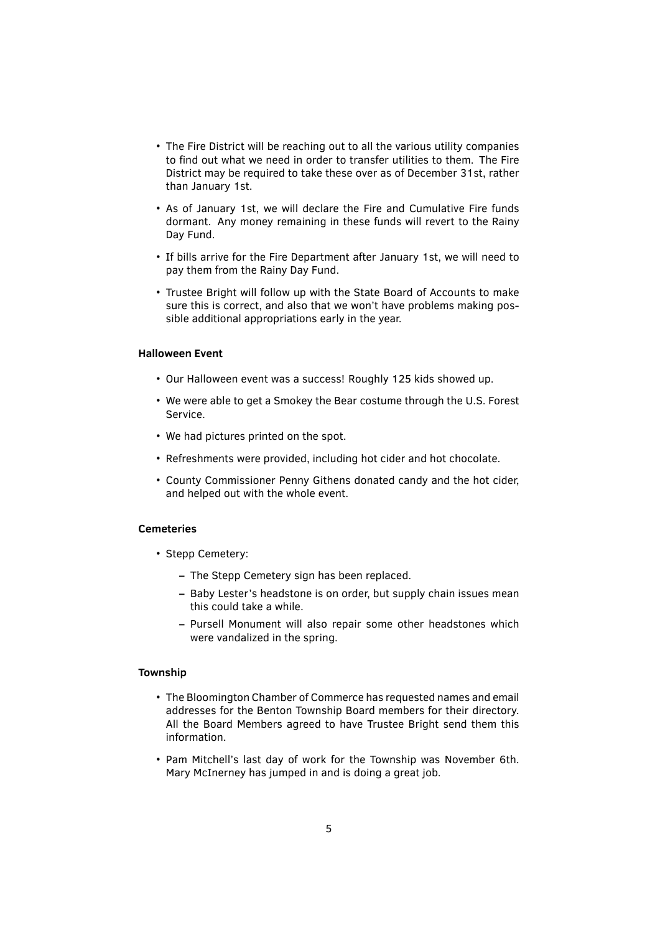- The Fire District will be reaching out to all the various utility companies to find out what we need in order to transfer utilities to them. The Fire District may be required to take these over as of December 31st, rather than January 1st.
- As of January 1st, we will declare the Fire and Cumulative Fire funds dormant. Any money remaining in these funds will revert to the Rainy Day Fund.
- If bills arrive for the Fire Department after January 1st, we will need to pay them from the Rainy Day Fund.
- Trustee Bright will follow up with the State Board of Accounts to make sure this is correct, and also that we won't have problems making possible additional appropriations early in the year.

#### **Halloween Event**

- Our Halloween event was a success! Roughly 125 kids showed up.
- We were able to get a Smokey the Bear costume through the U.S. Forest Service.
- We had pictures printed on the spot.
- Refreshments were provided, including hot cider and hot chocolate.
- County Commissioner Penny Githens donated candy and the hot cider, and helped out with the whole event.

#### **Cemeteries**

- Stepp Cemetery:
	- **–** The Stepp Cemetery sign has been replaced.
	- **–** Baby Lester's headstone is on order, but supply chain issues mean this could take a while.
	- **–** Pursell Monument will also repair some other headstones which were vandalized in the spring.

### **Township**

- The Bloomington Chamber of Commerce has requested names and email addresses for the Benton Township Board members for their directory. All the Board Members agreed to have Trustee Bright send them this information.
- Pam Mitchell's last day of work for the Township was November 6th. Mary McInerney has jumped in and is doing a great job.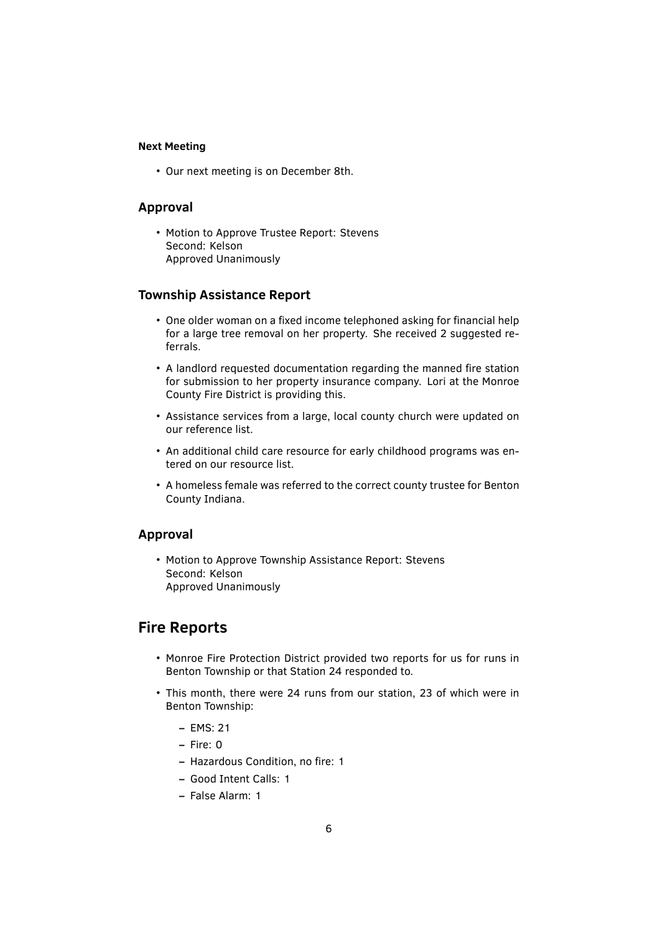#### **Next Meeting**

• Our next meeting is on December 8th.

### **Approval**

• Motion to Approve Trustee Report: Stevens Second: Kelson Approved Unanimously

# **Township Assistance Report**

- One older woman on a fixed income telephoned asking for financial help for a large tree removal on her property. She received 2 suggested referrals.
- A landlord requested documentation regarding the manned fire station for submission to her property insurance company. Lori at the Monroe County Fire District is providing this.
- Assistance services from a large, local county church were updated on our reference list.
- An additional child care resource for early childhood programs was entered on our resource list.
- A homeless female was referred to the correct county trustee for Benton County Indiana.

# **Approval**

• Motion to Approve Township Assistance Report: Stevens Second: Kelson Approved Unanimously

# **Fire Reports**

- Monroe Fire Protection District provided two reports for us for runs in Benton Township or that Station 24 responded to.
- This month, there were 24 runs from our station, 23 of which were in Benton Township:
	- **–** EMS: 21
	- **–** Fire: 0
	- **–** Hazardous Condition, no ̬re: 1
	- **–** Good Intent Calls: 1
	- **–** False Alarm: 1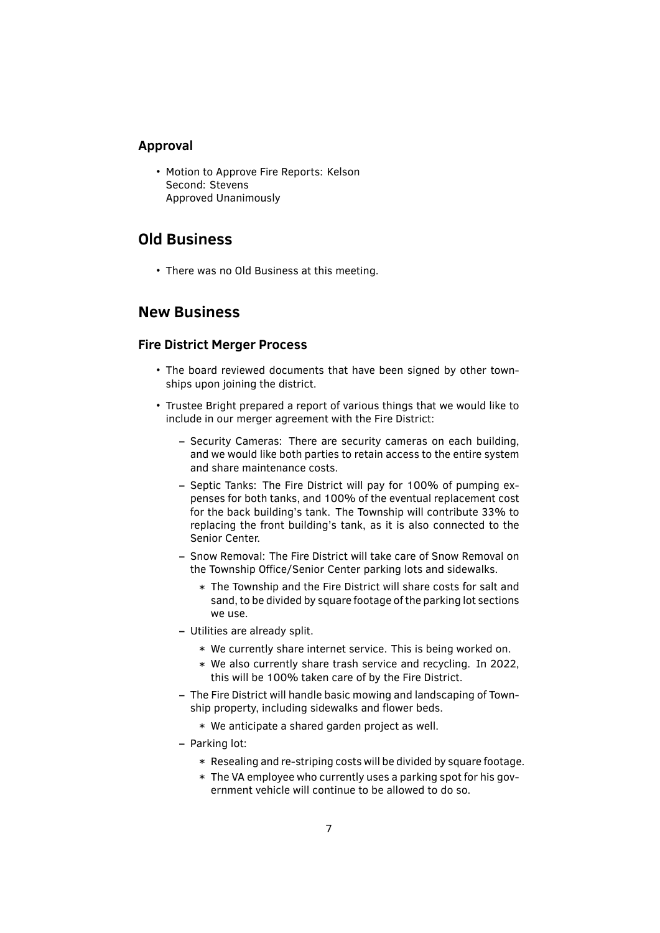# **Approval**

• Motion to Approve Fire Reports: Kelson Second: Stevens Approved Unanimously

# **Old Business**

• There was no Old Business at this meeting.

# **New Business**

# **Fire District Merger Process**

- The board reviewed documents that have been signed by other townships upon joining the district.
- Trustee Bright prepared a report of various things that we would like to include in our merger agreement with the Fire District:
	- **–** Security Cameras: There are security cameras on each building, and we would like both parties to retain access to the entire system and share maintenance costs.
	- **–** Septic Tanks: The Fire District will pay for 100% of pumping expenses for both tanks, and 100% of the eventual replacement cost for the back building's tank. The Township will contribute 33% to replacing the front building's tank, as it is also connected to the Senior Center.
	- **–** Snow Removal: The Fire District will take care of Snow Removal on the Township Office/Senior Center parking lots and sidewalks.
		- \* The Township and the Fire District will share costs for salt and sand, to be divided by square footage of the parking lot sections we use.
	- **–** Utilities are already split.
		- \* We currently share internet service. This is being worked on.
		- \* We also currently share trash service and recycling. In 2022, this will be 100% taken care of by the Fire District.
	- **–** The Fire District will handle basic mowing and landscaping of Township property, including sidewalks and flower beds.
		- \* We anticipate a shared garden project as well.
	- **–** Parking lot:
		- \* Resealing and re-striping costs will be divided by square footage.
		- \* The VA employee who currently uses a parking spot for his government vehicle will continue to be allowed to do so.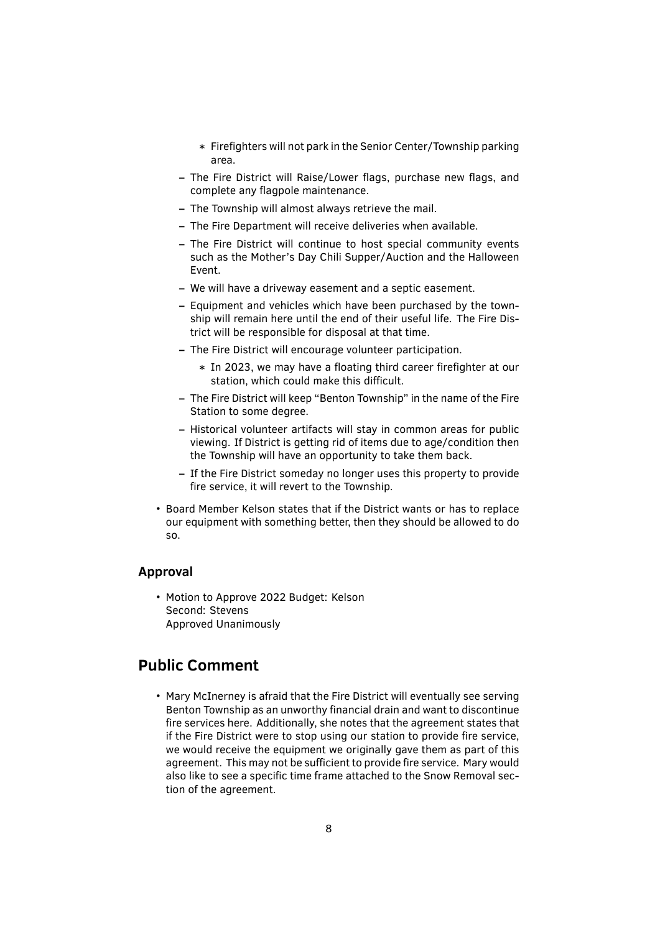- \* Fire̬ghters will not park in the Senior Center/Township parking area.
- **–** The Fire District will Raise/Lower ̭ags, purchase new ̭ags, and complete any flagpole maintenance.
- **–** The Township will almost always retrieve the mail.
- **–** The Fire Department will receive deliveries when available.
- **–** The Fire District will continue to host special community events such as the Mother's Day Chili Supper/Auction and the Halloween Event.
- **–** We will have a driveway easement and a septic easement.
- **–** Equipment and vehicles which have been purchased by the township will remain here until the end of their useful life. The Fire District will be responsible for disposal at that time.
- **–** The Fire District will encourage volunteer participation.
	- \* In 2023, we may have a floating third career firefighter at our station, which could make this difficult.
- **–** The Fire District will keep "Benton Township" in the name of the Fire Station to some degree.
- **–** Historical volunteer artifacts will stay in common areas for public viewing. If District is getting rid of items due to age/condition then the Township will have an opportunity to take them back.
- **–** If the Fire District someday no longer uses this property to provide fire service, it will revert to the Township.
- Board Member Kelson states that if the District wants or has to replace our equipment with something better, then they should be allowed to do so.

#### **Approval**

• Motion to Approve 2022 Budget: Kelson Second: Stevens Approved Unanimously

# **Public Comment**

• Mary McInerney is afraid that the Fire District will eventually see serving Benton Township as an unworthy financial drain and want to discontinue fire services here. Additionally, she notes that the agreement states that if the Fire District were to stop using our station to provide fire service, we would receive the equipment we originally gave them as part of this agreement. This may not be sufficient to provide fire service. Mary would also like to see a specific time frame attached to the Snow Removal section of the agreement.